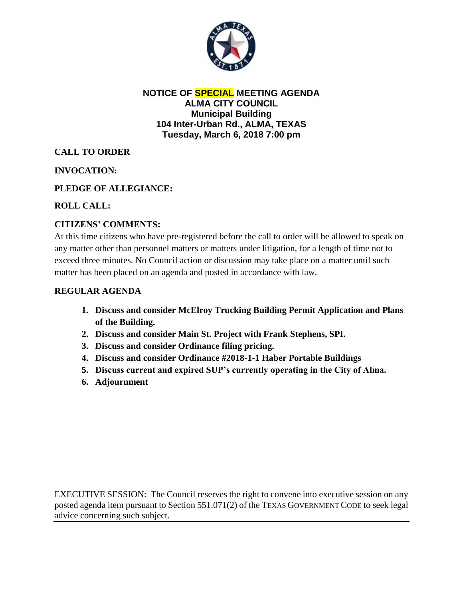

#### **NOTICE OF SPECIAL MEETING AGENDA ALMA CITY COUNCIL Municipal Building 104 Inter-Urban Rd., ALMA, TEXAS Tuesday, March 6, 2018 7:00 pm**

# **CALL TO ORDER**

## **INVOCATION:**

## **PLEDGE OF ALLEGIANCE:**

## **ROLL CALL:**

## **CITIZENS' COMMENTS:**

At this time citizens who have pre-registered before the call to order will be allowed to speak on any matter other than personnel matters or matters under litigation, for a length of time not to exceed three minutes. No Council action or discussion may take place on a matter until such matter has been placed on an agenda and posted in accordance with law.

#### **REGULAR AGENDA**

- **1. Discuss and consider McElroy Trucking Building Permit Application and Plans of the Building.**
- **2. Discuss and consider Main St. Project with Frank Stephens, SPI.**
- **3. Discuss and consider Ordinance filing pricing.**
- **4. Discuss and consider Ordinance #2018-1-1 Haber Portable Buildings**
- **5. Discuss current and expired SUP's currently operating in the City of Alma.**
- **6. Adjournment**

EXECUTIVE SESSION: The Council reserves the right to convene into executive session on any posted agenda item pursuant to Section 551.071(2) of the TEXAS GOVERNMENT CODE to seek legal advice concerning such subject.